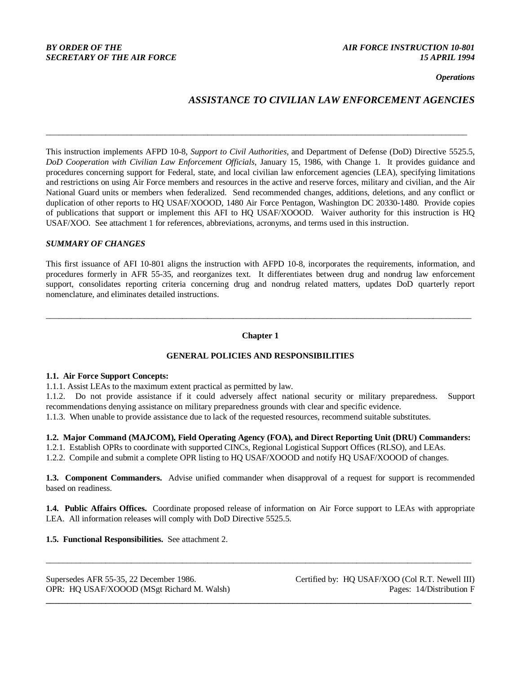*Operations*

# *ASSISTANCE TO CIVILIAN LAW ENFORCEMENT AGENCIES*

This instruction implements AFPD 10-8, *Support to Civil Authorities*, and Department of Defense (DoD) Directive 5525.5, *DoD Cooperation with Civilian Law Enforcement Officials*, January 15, 1986, with Change 1. It provides guidance and procedures concerning support for Federal, state, and local civilian law enforcement agencies (LEA), specifying limitations and restrictions on using Air Force members and resources in the active and reserve forces, military and civilian, and the Air National Guard units or members when federalized. Send recommended changes, additions, deletions, and any conflict or duplication of other reports to HQ USAF/XOOOD, 1480 Air Force Pentagon, Washington DC 20330-1480. Provide copies of publications that support or implement this AFI to HQ USAF/XOOOD. Waiver authority for this instruction is HQ USAF/XOO. See attachment 1 for references, abbreviations, acronyms, and terms used in this instruction.

\_\_\_\_\_\_\_\_\_\_\_\_\_\_\_\_\_\_\_\_\_\_\_\_\_\_\_\_\_\_\_\_\_\_\_\_\_\_\_\_\_\_\_\_\_\_\_\_\_\_\_\_\_\_\_\_\_\_\_\_\_\_\_\_\_\_\_\_\_\_\_\_\_\_\_\_\_\_\_\_\_\_\_\_\_\_\_\_\_\_\_\_\_\_\_\_\_\_\_

### *SUMMARY OF CHANGES*

This first issuance of AFI 10-801 aligns the instruction with AFPD 10-8, incorporates the requirements, information, and procedures formerly in AFR 55-35, and reorganizes text. It differentiates between drug and nondrug law enforcement support, consolidates reporting criteria concerning drug and nondrug related matters, updates DoD quarterly report nomenclature, and eliminates detailed instructions.

## **Chapter 1**

\_\_\_\_\_\_\_\_\_\_\_\_\_\_\_\_\_\_\_\_\_\_\_\_\_\_\_\_\_\_\_\_\_\_\_\_\_\_\_\_\_\_\_\_\_\_\_\_\_\_\_\_\_\_\_\_\_\_\_\_\_\_\_\_\_\_\_\_\_\_\_\_\_\_\_\_\_\_\_\_\_\_\_\_\_\_\_\_\_\_\_\_\_\_\_\_\_\_\_\_

## **GENERAL POLICIES AND RESPONSIBILITIES**

### **1.1. Air Force Support Concepts:**

1.1.1. Assist LEAs to the maximum extent practical as permitted by law.

1.1.2. Do not provide assistance if it could adversely affect national security or military preparedness. Support recommendations denying assistance on military preparedness grounds with clear and specific evidence.

1.1.3. When unable to provide assistance due to lack of the requested resources, recommend suitable substitutes.

**1.2. Major Command (MAJCOM), Field Operating Agency (FOA), and Direct Reporting Unit (DRU) Commanders:**

1.2.1. Establish OPRs to coordinate with supported CINCs, Regional Logistical Support Offices (RLSO), and LEAs.

1.2.2. Compile and submit a complete OPR listing to HQ USAF/XOOOD and notify HQ USAF/XOOOD of changes.

**1.3. Component Commanders.** Advise unified commander when disapproval of a request for support is recommended based on readiness.

**1.4. Public Affairs Offices.** Coordinate proposed release of information on Air Force support to LEAs with appropriate LEA. All information releases will comply with DoD Directive 5525.5.

\_\_\_\_\_\_\_\_\_\_\_\_\_\_\_\_\_\_\_\_\_\_\_\_\_\_\_\_\_\_\_\_\_\_\_\_\_\_\_\_\_\_\_\_\_\_\_\_\_\_\_\_\_\_\_\_\_\_\_\_\_\_\_\_\_\_\_\_\_\_\_\_\_\_\_\_\_\_\_\_\_\_\_\_\_\_\_\_\_\_\_\_\_\_\_\_\_\_\_\_

**\_\_\_\_\_\_\_\_\_\_\_\_\_\_\_\_\_\_\_\_\_\_\_\_\_\_\_\_\_\_\_\_\_\_\_\_\_\_\_\_\_\_\_\_\_\_\_\_\_\_\_\_\_\_\_\_\_\_\_\_\_\_\_\_\_\_\_\_\_\_\_\_\_\_\_\_\_\_\_\_\_\_\_\_\_\_\_\_\_\_\_\_\_\_\_\_\_\_\_\_**

**1.5. Functional Responsibilities.** See attachment 2.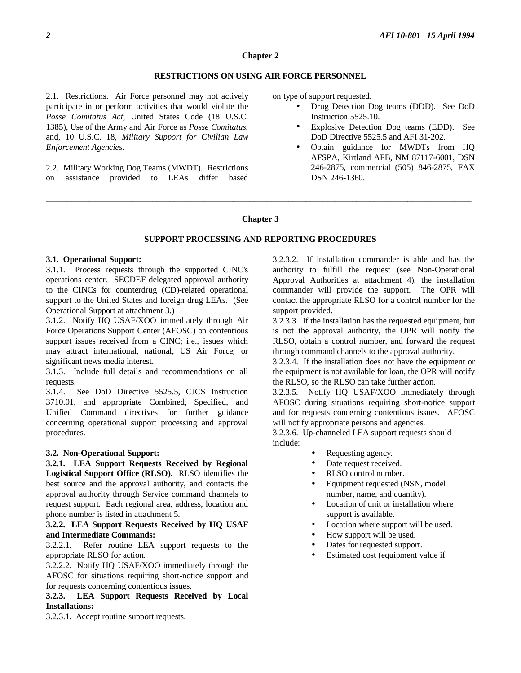### **Chapter 2**

## **RESTRICTIONS ON USING AIR FORCE PERSONNEL**

2.1. Restrictions. Air Force personnel may not actively participate in or perform activities that would violate the *Posse Comitatus Act,* United States Code (18 U.S.C. 1385), Use of the Army and Air Force as *Posse Comitatus*, and, 10 U.S.C. 18, *Military Support for Civilian Law Enforcement Agencies*.

2.2. Military Working Dog Teams (MWDT). Restrictions on assistance provided to LEAs differ based on type of support requested.

- Drug Detection Dog teams (DDD). See DoD Instruction 5525.10.
- Explosive Detection Dog teams (EDD). See DoD Directive 5525.5 and AFI 31-202.
- Obtain guidance for MWDTs from HQ AFSPA, Kirtland AFB, NM 87117-6001, DSN 246-2875, commercial (505) 846-2875, FAX DSN 246-1360.

#### **Chapter 3**

\_\_\_\_\_\_\_\_\_\_\_\_\_\_\_\_\_\_\_\_\_\_\_\_\_\_\_\_\_\_\_\_\_\_\_\_\_\_\_\_\_\_\_\_\_\_\_\_\_\_\_\_\_\_\_\_\_\_\_\_\_\_\_\_\_\_\_\_\_\_\_\_\_\_\_\_\_\_\_\_\_\_\_\_\_\_\_\_\_\_\_\_\_\_\_\_\_\_\_\_

## **SUPPORT PROCESSING AND REPORTING PROCEDURES**

#### **3.1. Operational Support:**

3.1.1. Process requests through the supported CINC's operations center. SECDEF delegated approval authority to the CINCs for counterdrug (CD)-related operational support to the United States and foreign drug LEAs. (See Operational Support at attachment 3.)

3.1.2. Notify HQ USAF/XOO immediately through Air Force Operations Support Center (AFOSC) on contentious support issues received from a CINC; i.e., issues which may attract international, national, US Air Force, or significant news media interest.

3.1.3. Include full details and recommendations on all requests.

3.1.4. See DoD Directive 5525.5, CJCS Instruction 3710.01, and appropriate Combined, Specified, and Unified Command directives for further guidance concerning operational support processing and approval procedures.

## **3.2. Non-Operational Support:**

**3.2.1. LEA Support Requests Received by Regional Logistical Support Office (RLSO).** RLSO identifies the best source and the approval authority, and contacts the approval authority through Service command channels to request support. Each regional area, address, location and phone number is listed in attachment 5.

## **3.2.2. LEA Support Requests Received by HQ USAF and Intermediate Commands:**

3.2.2.1. Refer routine LEA support requests to the appropriate RLSO for action.

3.2.2.2. Notify HQ USAF/XOO immediately through the AFOSC for situations requiring short-notice support and for requests concerning contentious issues.

**3.2.3. LEA Support Requests Received by Local Installations:**

3.2.3.1. Accept routine support requests.

3.2.3.2. If installation commander is able and has the authority to fulfill the request (see Non-Operational Approval Authorities at attachment 4), the installation commander will provide the support. The OPR will contact the appropriate RLSO for a control number for the support provided.

3.2.3.3. If the installation has the requested equipment, but is not the approval authority, the OPR will notify the RLSO, obtain a control number, and forward the request through command channels to the approval authority.

3.2.3.4. If the installation does not have the equipment or the equipment is not available for loan, the OPR will notify the RLSO, so the RLSO can take further action.

3.2.3.5. Notify HQ USAF/XOO immediately through AFOSC during situations requiring short-notice support and for requests concerning contentious issues. AFOSC will notify appropriate persons and agencies.

3.2.3.6. Up-channeled LEA support requests should include:

- Requesting agency.
- Date request received.
- RLSO control number.
- Equipment requested (NSN, model number, name, and quantity).
- Location of unit or installation where support is available.
- Location where support will be used.
- How support will be used.
- Dates for requested support.
- Estimated cost (equipment value if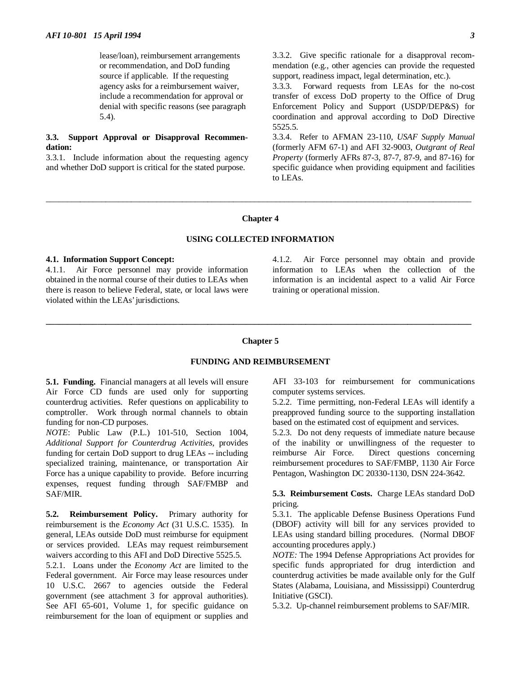lease/loan), reimbursement arrangements or recommendation, and DoD funding source if applicable. If the requesting agency asks for a reimbursement waiver, include a recommendation for approval or denial with specific reasons (see paragraph 5.4).

## **3.3. Support Approval or Disapproval Recommendation:**

3.3.1. Include information about the requesting agency and whether DoD support is critical for the stated purpose.

3.3.2. Give specific rationale for a disapproval recommendation (e.g., other agencies can provide the requested support, readiness impact, legal determination, etc.).

3.3.3. Forward requests from LEAs for the no-cost transfer of excess DoD property to the Office of Drug Enforcement Policy and Support (USDP/DEP&S) for coordination and approval according to DoD Directive 5525.5.

3.3.4. Refer to AFMAN 23-110, *USAF Supply Manual* (formerly AFM 67-1) and AFI 32-9003, *Outgrant of Real Property* (formerly AFRs 87-3, 87-7, 87-9, and 87-16) for specific guidance when providing equipment and facilities to LEAs.

#### **Chapter 4**

\_\_\_\_\_\_\_\_\_\_\_\_\_\_\_\_\_\_\_\_\_\_\_\_\_\_\_\_\_\_\_\_\_\_\_\_\_\_\_\_\_\_\_\_\_\_\_\_\_\_\_\_\_\_\_\_\_\_\_\_\_\_\_\_\_\_\_\_\_\_\_\_\_\_\_\_\_\_\_\_\_\_\_\_\_\_\_\_\_\_\_\_\_\_\_\_\_\_\_\_

### **USING COLLECTED INFORMATION**

#### **4.1. Information Support Concept:**

4.1.1. Air Force personnel may provide information obtained in the normal course of their duties to LEAs when there is reason to believe Federal, state, or local laws were violated within the LEAs' jurisdictions.

4.1.2. Air Force personnel may obtain and provide information to LEAs when the collection of the information is an incidental aspect to a valid Air Force training or operational mission.

## **Chapter 5**

**\_\_\_\_\_\_\_\_\_\_\_\_\_\_\_\_\_\_\_\_\_\_\_\_\_\_\_\_\_\_\_\_\_\_\_\_\_\_\_\_\_\_\_\_\_\_\_\_\_\_\_\_\_\_\_\_\_\_\_\_\_\_\_\_\_\_\_\_\_\_\_\_\_\_\_\_\_\_\_\_\_\_\_\_\_\_\_\_\_\_\_\_\_\_\_\_\_\_\_\_**

### **FUNDING AND REIMBURSEMENT**

**5.1. Funding.** Financial managers at all levels will ensure Air Force CD funds are used only for supporting counterdrug activities. Refer questions on applicability to comptroller. Work through normal channels to obtain funding for non-CD purposes.

*NOTE*: Public Law (P.L.) 101-510, Section 1004, *Additional Support for Counterdrug Activities,* provides funding for certain DoD support to drug LEAs -- including specialized training, maintenance, or transportation Air Force has a unique capability to provide. Before incurring expenses, request funding through SAF/FMBP and SAF/MIR.

**5.2. Reimbursement Policy.** Primary authority for reimbursement is the *Economy Act* (31 U.S.C. 1535). In general, LEAs outside DoD must reimburse for equipment or services provided. LEAs may request reimbursement waivers according to this AFI and DoD Directive 5525.5.

5.2.1. Loans under the *Economy Act* are limited to the Federal government. Air Force may lease resources under 10 U.S.C. 2667 to agencies outside the Federal government (see attachment 3 for approval authorities). See AFI 65-601, Volume 1, for specific guidance on reimbursement for the loan of equipment or supplies and

AFI 33-103 for reimbursement for communications computer systems services.

5.2.2. Time permitting, non-Federal LEAs will identify a preapproved funding source to the supporting installation based on the estimated cost of equipment and services.

5.2.3. Do not deny requests of immediate nature because of the inability or unwillingness of the requester to reimburse Air Force. Direct questions concerning reimbursement procedures to SAF/FMBP, 1130 Air Force Pentagon, Washington DC 20330-1130, DSN 224-3642.

### **5.3. Reimbursement Costs.** Charge LEAs standard DoD pricing.

5.3.1. The applicable Defense Business Operations Fund (DBOF) activity will bill for any services provided to LEAs using standard billing procedures. (Normal DBOF accounting procedures apply.)

*NOTE:* The 1994 Defense Appropriations Act provides for specific funds appropriated for drug interdiction and counterdrug activities be made available only for the Gulf States (Alabama, Louisiana, and Mississippi) Counterdrug Initiative (GSCI).

5.3.2. Up-channel reimbursement problems to SAF/MIR.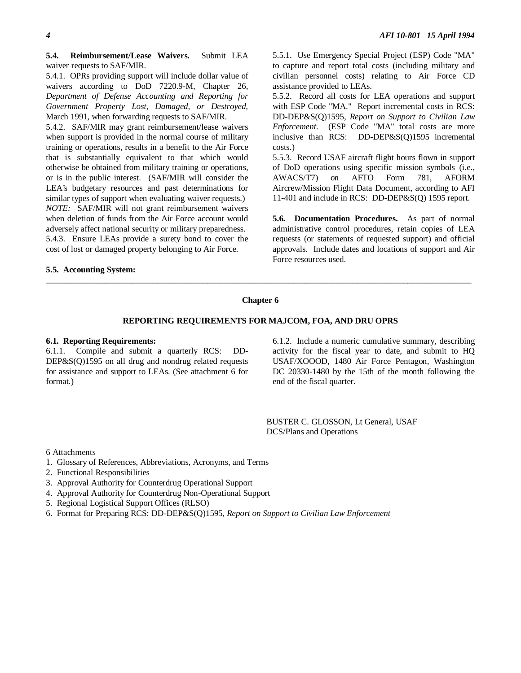#### **5.4. Reimbursement/Lease Waivers.** Submit LEA waiver requests to SAF/MIR.

5.4.1. OPRs providing support will include dollar value of waivers according to DoD 7220.9-M, Chapter 26, *Department of Defense Accounting and Reporting for Government Property Lost, Damaged, or Destroyed,* March 1991, when forwarding requests to SAF/MIR.

5.4.2. SAF/MIR may grant reimbursement/lease waivers when support is provided in the normal course of military training or operations, results in a benefit to the Air Force that is substantially equivalent to that which would otherwise be obtained from military training or operations, or is in the public interest. (SAF/MIR will consider the LEA's budgetary resources and past determinations for similar types of support when evaluating waiver requests.) *NOTE:* SAF/MIR will not grant reimbursement waivers when deletion of funds from the Air Force account would adversely affect national security or military preparedness. 5.4.3. Ensure LEAs provide a surety bond to cover the cost of lost or damaged property belonging to Air Force.

#### **5.5. Accounting System:**

5.5.1. Use Emergency Special Project (ESP) Code "MA" to capture and report total costs (including military and civilian personnel costs) relating to Air Force CD assistance provided to LEAs.

5.5.2. Record all costs for LEA operations and support with ESP Code "MA." Report incremental costs in RCS: DD-DEP&S(Q)1595, *Report on Support to Civilian Law Enforcement*. (ESP Code "MA" total costs are more inclusive than RCS: DD-DEP&S(Q)1595 incremental costs.)

5.5.3. Record USAF aircraft flight hours flown in support of DoD operations using specific mission symbols (i.e., AWACS/T7) on AFTO Form 781, AFORM Aircrew/Mission Flight Data Document, according to AFI 11-401 and include in RCS: DD-DEP&S(Q) 1595 report.

**5.6. Documentation Procedures.** As part of normal administrative control procedures, retain copies of LEA requests (or statements of requested support) and official approvals. Include dates and locations of support and Air Force resources used.

#### **Chapter 6**

\_\_\_\_\_\_\_\_\_\_\_\_\_\_\_\_\_\_\_\_\_\_\_\_\_\_\_\_\_\_\_\_\_\_\_\_\_\_\_\_\_\_\_\_\_\_\_\_\_\_\_\_\_\_\_\_\_\_\_\_\_\_\_\_\_\_\_\_\_\_\_\_\_\_\_\_\_\_\_\_\_\_\_\_\_\_\_\_\_\_\_\_\_\_\_\_\_\_\_\_

#### **REPORTING REQUIREMENTS FOR MAJCOM, FOA, AND DRU OPRS**

### **6.1. Reporting Requirements:**

6.1.1. Compile and submit a quarterly RCS: DD-DEP&S(Q)1595 on all drug and nondrug related requests for assistance and support to LEAs. (See attachment 6 for format.)

6.1.2. Include a numeric cumulative summary, describing activity for the fiscal year to date, and submit to HQ USAF/XOOOD, 1480 Air Force Pentagon, Washington DC 20330-1480 by the 15th of the month following the end of the fiscal quarter.

BUSTER C. GLOSSON, Lt General, USAF DCS/Plans and Operations

6 Attachments

- 1. Glossary of References, Abbreviations, Acronyms, and Terms
- 2. Functional Responsibilities
- 3. Approval Authority for Counterdrug Operational Support
- 4. Approval Authority for Counterdrug Non-Operational Support
- 5. Regional Logistical Support Offices (RLSO)
- 6. Format for Preparing RCS: DD-DEP&S(Q)1595, *Report on Support to Civilian Law Enforcement*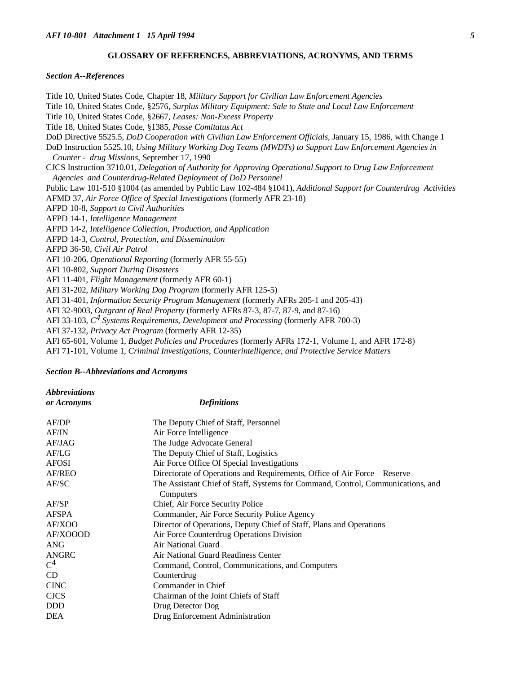#### **GLOSSARY OF REFERENCES, ABBREVIATIONS, ACRONYMS, AND TERMS**

#### *Section A--References*

Title 10, United States Code, Chapter 18, *Military Support for Civilian Law Enforcement Agencies* Title 10, United States Code, §2576, *Surplus Military Equipment: Sale to State and Local Law Enforcement* Title 10, United States Code, §2667, *Leases: Non-Excess Property* Title 18, United States Code, §1385*, Posse Comitatus Act* DoD Directive 5525.5, *DoD Cooperation with Civilian Law Enforcement Officials,* January 15, 1986, with Change 1 DoD Instruction 5525.10, *Using Military Working Dog Teams (MWDTs) to Support Law Enforcement Agencies in Counter - drug Missions*, September 17, 1990 CJCS Instruction 3710.01, *Delegation of Authority for Approving Operational Support to Drug Law Enforcement Agencies and Counterdrug-Related Deployment of DoD Personnel* Public Law 101-510 §1004 (as amended by Public Law 102-484 §1041), *Additional Support for Counterdrug Activities* AFMD 37, *Air Force Office of Special Investigations* (formerly AFR 23-18) AFPD 10-8*, Support to Civil Authorities* AFPD 14-1, *Intelligence Management* AFPD 14-2, *Intelligence Collection, Production, and Application* AFPD 14-3, *Control, Protection, and Dissemination* AFPD 36-50, *Civil Air Patrol* AFI 10-206, *Operational Reporting* (formerly AFR 55-55) AFI 10-802, *Support During Disasters* AFI 11-401, *Flight Management* (formerly AFR 60-1) AFI 31-202, *Military Working Dog Program* (formerly AFR 125-5) AFI 31-401, *Information Security Program Management* (formerly AFRs 205-1 and 205-43) AFI 32-9003, *Outgrant of Real Property* (formerly AFRs 87-3, 87-7, 87-9, and 87-16) AFI 33-103, *C4 Systems Requirements, Development and Processing* (formerly AFR 700-3) AFI 37-132, *Privacy Act Program* (formerly AFR 12-35)

AFI 65-601, Volume 1, *Budget Policies and Procedures* (formerly AFRs 172-1, Volume 1, and AFR 172-8)

AFI 71-101, Volume 1, *Criminal Investigations, Counterintelligence, and Protective Service Matters*

#### *Section B--Abbreviations and Acronyms*

*Abbreviations*

*or Acronyms Definitions* AF/DP The Deputy Chief of Staff, Personnel AF/IN Air Force Intelligence AF/JAG The Judge Advocate General AF/LG The Deputy Chief of Staff, Logistics AFOSI Air Force Office Of Special Investigations AF/REO Directorate of Operations and Requirements, Office of Air Force Reserve AF/SC The Assistant Chief of Staff, Systems for Command, Control, Communications, and **Computers** AF/SP Chief, Air Force Security Police AFSPA Commander, Air Force Security Police Agency AF/XOO Director of Operations, Deputy Chief of Staff, Plans and Operations AF/XOOOD Air Force Counterdrug Operations Division ANG Air National Guard ANGRC Air National Guard Readiness Center<br>C<sup>4</sup> Command. Control. Communications Command, Control, Communications, and Computers CD Counterdrug CINC Commander in Chief CJCS Chairman of the Joint Chiefs of Staff DDD Drug Detector Dog DEA Drug Enforcement Administration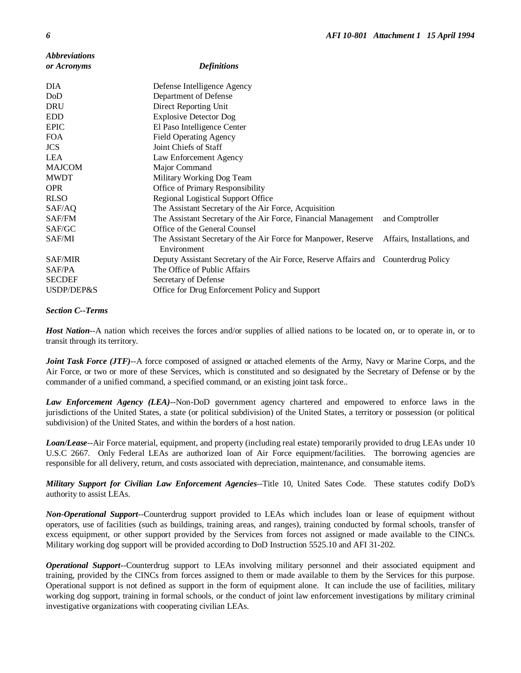| <i><b>Abbreviations</b></i> |                                                                                     |                             |
|-----------------------------|-------------------------------------------------------------------------------------|-----------------------------|
| or Acronyms                 | <b>Definitions</b>                                                                  |                             |
| <b>DIA</b>                  | Defense Intelligence Agency                                                         |                             |
| DoD                         | Department of Defense                                                               |                             |
| <b>DRU</b>                  | Direct Reporting Unit                                                               |                             |
| <b>EDD</b>                  | <b>Explosive Detector Dog</b>                                                       |                             |
| <b>EPIC</b>                 | El Paso Intelligence Center                                                         |                             |
| <b>FOA</b>                  | <b>Field Operating Agency</b>                                                       |                             |
| <b>JCS</b>                  | Joint Chiefs of Staff                                                               |                             |
| <b>LEA</b>                  | Law Enforcement Agency                                                              |                             |
| <b>MAJCOM</b>               | Major Command                                                                       |                             |
| <b>MWDT</b>                 | Military Working Dog Team                                                           |                             |
| <b>OPR</b>                  | Office of Primary Responsibility                                                    |                             |
| <b>RLSO</b>                 | <b>Regional Logistical Support Office</b>                                           |                             |
| SAF/AQ                      | The Assistant Secretary of the Air Force, Acquisition                               |                             |
| SAF/FM                      | The Assistant Secretary of the Air Force, Financial Management                      | and Comptroller             |
| SAF/GC                      | Office of the General Counsel                                                       |                             |
| SAF/MI                      | The Assistant Secretary of the Air Force for Manpower, Reserve<br>Environment       | Affairs, Installations, and |
| <b>SAF/MIR</b>              | Deputy Assistant Secretary of the Air Force, Reserve Affairs and Counterdrug Policy |                             |
| SAF/PA                      | The Office of Public Affairs                                                        |                             |
| <b>SECDEF</b>               | Secretary of Defense                                                                |                             |
| USDP/DEP&S                  | Office for Drug Enforcement Policy and Support                                      |                             |

## *Section C--Terms*

*Host Nation--*A nation which receives the forces and/or supplies of allied nations to be located on, or to operate in, or to transit through its territory.

*Joint Task Force (JTF)*--A force composed of assigned or attached elements of the Army, Navy or Marine Corps, and the Air Force, or two or more of these Services, which is constituted and so designated by the Secretary of Defense or by the commander of a unified command, a specified command, or an existing joint task force..

*Law Enforcement Agency (LEA)--*Non-DoD government agency chartered and empowered to enforce laws in the jurisdictions of the United States, a state (or political subdivision) of the United States, a territory or possession (or political subdivision) of the United States, and within the borders of a host nation.

*Loan/Lease--*Air Force material, equipment, and property (including real estate) temporarily provided to drug LEAs under 10 U.S.C 2667. Only Federal LEAs are authorized loan of Air Force equipment/facilities. The borrowing agencies are responsible for all delivery, return, and costs associated with depreciation, maintenance, and consumable items.

*Military Support for Civilian Law Enforcement Agencies--*Title 10, United Sates Code. These statutes codify DoD's authority to assist LEAs.

*Non-Operational Support--*Counterdrug support provided to LEAs which includes loan or lease of equipment without operators, use of facilities (such as buildings, training areas, and ranges), training conducted by formal schools, transfer of excess equipment, or other support provided by the Services from forces not assigned or made available to the CINCs. Military working dog support will be provided according to DoD Instruction 5525.10 and AFI 31-202.

*Operational Support--*Counterdrug support to LEAs involving military personnel and their associated equipment and training, provided by the CINCs from forces assigned to them or made available to them by the Services for this purpose. Operational support is not defined as support in the form of equipment alone. It can include the use of facilities, military working dog support, training in formal schools, or the conduct of joint law enforcement investigations by military criminal investigative organizations with cooperating civilian LEAs.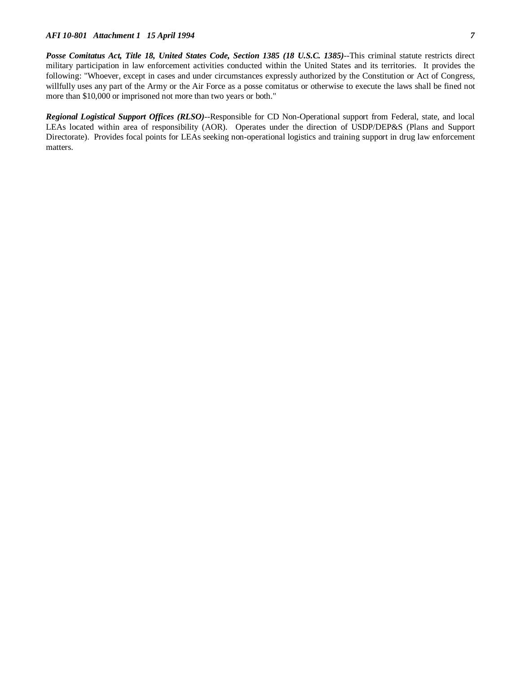*Posse Comitatus Act, Title 18, United States Code, Section 1385 (18 U.S.C. 1385)--*This criminal statute restricts direct military participation in law enforcement activities conducted within the United States and its territories. It provides the following: "Whoever, except in cases and under circumstances expressly authorized by the Constitution or Act of Congress, willfully uses any part of the Army or the Air Force as a posse comitatus or otherwise to execute the laws shall be fined not more than \$10,000 or imprisoned not more than two years or both."

*Regional Logistical Support Offices (RLSO)--*Responsible for CD Non-Operational support from Federal, state, and local LEAs located within area of responsibility (AOR). Operates under the direction of USDP/DEP&S (Plans and Support Directorate). Provides focal points for LEAs seeking non-operational logistics and training support in drug law enforcement matters.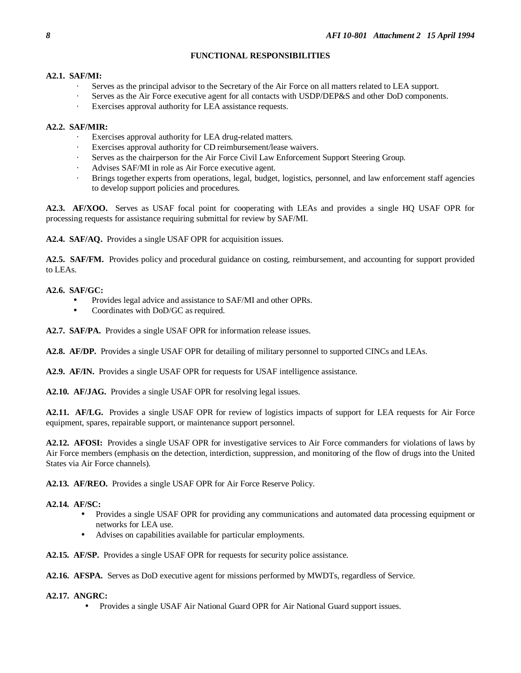# **FUNCTIONAL RESPONSIBILITIES**

## **A2.1. SAF/MI:**

- Serves as the principal advisor to the Secretary of the Air Force on all matters related to LEA support.
- Serves as the Air Force executive agent for all contacts with USDP/DEP&S and other DoD components.
- Exercises approval authority for LEA assistance requests.

# **A2.2. SAF/MIR:**

- Exercises approval authority for LEA drug-related matters.
- Exercises approval authority for CD reimbursement/lease waivers.
- Serves as the chairperson for the Air Force Civil Law Enforcement Support Steering Group.
- Advises SAF/MI in role as Air Force executive agent.
- · Brings together experts from operations, legal, budget, logistics, personnel, and law enforcement staff agencies to develop support policies and procedures.

**A2.3. AF/XOO.** Serves as USAF focal point for cooperating with LEAs and provides a single HQ USAF OPR for processing requests for assistance requiring submittal for review by SAF/MI.

**A2.4. SAF/AQ.** Provides a single USAF OPR for acquisition issues.

**A2.5. SAF/FM.** Provides policy and procedural guidance on costing, reimbursement, and accounting for support provided to LEAs.

# **A2.6. SAF/GC:**

- Provides legal advice and assistance to SAF/MI and other OPRs.
- Coordinates with DoD/GC as required.

**A2.7. SAF/PA.** Provides a single USAF OPR for information release issues.

**A2.8. AF/DP.** Provides a single USAF OPR for detailing of military personnel to supported CINCs and LEAs.

**A2.9. AF/IN.** Provides a single USAF OPR for requests for USAF intelligence assistance.

**A2.10. AF/JAG.** Provides a single USAF OPR for resolving legal issues.

**A2.11. AF/LG.** Provides a single USAF OPR for review of logistics impacts of support for LEA requests for Air Force equipment, spares, repairable support, or maintenance support personnel.

**A2.12. AFOSI:** Provides a single USAF OPR for investigative services to Air Force commanders for violations of laws by Air Force members (emphasis on the detection, interdiction, suppression, and monitoring of the flow of drugs into the United States via Air Force channels).

**A2.13. AF/REO.** Provides a single USAF OPR for Air Force Reserve Policy.

# **A2.14. AF/SC:**

- Provides a single USAF OPR for providing any communications and automated data processing equipment or networks for LEA use.
- Advises on capabilities available for particular employments.

**A2.15. AF/SP.** Provides a single USAF OPR for requests for security police assistance.

**A2.16. AFSPA.** Serves as DoD executive agent for missions performed by MWDTs, regardless of Service.

## **A2.17. ANGRC:**

• Provides a single USAF Air National Guard OPR for Air National Guard support issues.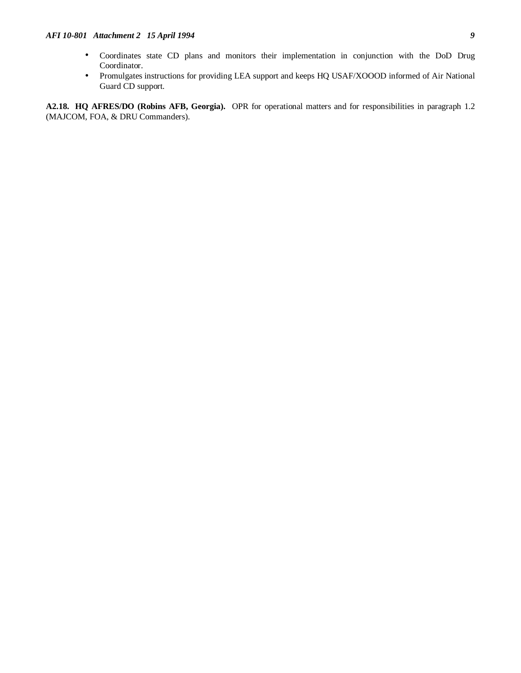- Coordinates state CD plans and monitors their implementation in conjunction with the DoD Drug Coordinator.
- Promulgates instructions for providing LEA support and keeps HQ USAF/XOOOD informed of Air National Guard CD support.

**A2.18. HQ AFRES/DO (Robins AFB, Georgia).** OPR for operational matters and for responsibilities in paragraph 1.2 (MAJCOM, FOA, & DRU Commanders).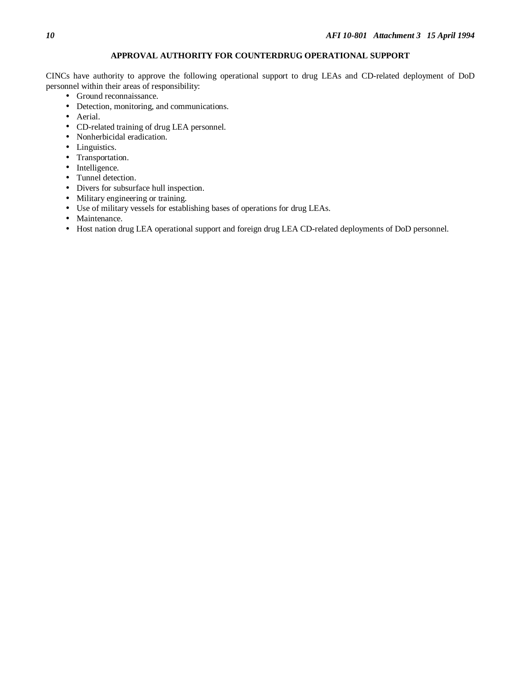# **APPROVAL AUTHORITY FOR COUNTERDRUG OPERATIONAL SUPPORT**

CINCs have authority to approve the following operational support to drug LEAs and CD-related deployment of DoD personnel within their areas of responsibility:

- Ground reconnaissance.
- Detection, monitoring, and communications.
- Aerial.
- CD-related training of drug LEA personnel.
- Nonherbicidal eradication.
- Linguistics.
- Transportation.
- Intelligence.
- Tunnel detection.
- Divers for subsurface hull inspection.
- Military engineering or training.
- Use of military vessels for establishing bases of operations for drug LEAs.
- Maintenance.
- Host nation drug LEA operational support and foreign drug LEA CD-related deployments of DoD personnel.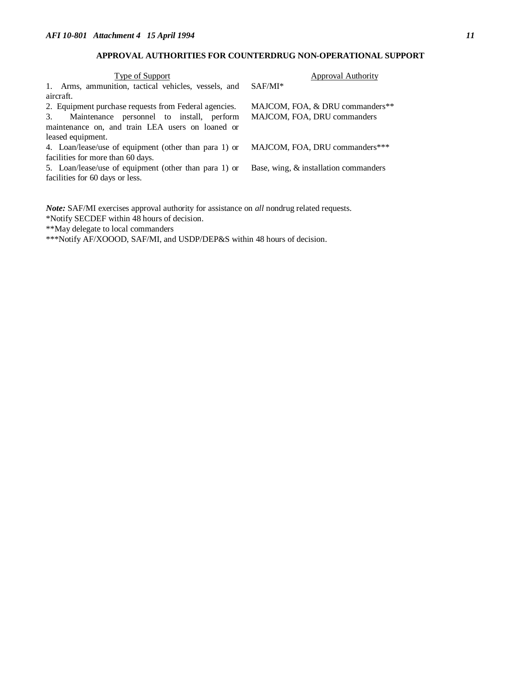# **APPROVAL AUTHORITIES FOR COUNTERDRUG NON-OPERATIONAL SUPPORT**

| Type of Support                                       | <b>Approval Authority</b>                |  |
|-------------------------------------------------------|------------------------------------------|--|
| 1. Arms, ammunition, tactical vehicles, vessels, and  | $SAF/MI^*$                               |  |
| aircraft.                                             |                                          |  |
| 2. Equipment purchase requests from Federal agencies. | MAJCOM, FOA, & DRU commanders**          |  |
| Maintenance personnel to install, perform<br>3.       | MAJCOM, FOA, DRU commanders              |  |
| maintenance on, and train LEA users on loaned or      |                                          |  |
| leased equipment.                                     |                                          |  |
| 4. Loan/lease/use of equipment (other than para 1) or | MAJCOM, FOA, DRU commanders***           |  |
| facilities for more than 60 days.                     |                                          |  |
| 5. Loan/lease/use of equipment (other than para 1) or | Base, wing, $\&$ installation commanders |  |
| facilities for 60 days or less.                       |                                          |  |
|                                                       |                                          |  |

*Note:* SAF/MI exercises approval authority for assistance on *all* nondrug related requests. \*Notify SECDEF within 48 hours of decision.

\*\*May delegate to local commanders

\*\*\*Notify AF/XOOOD, SAF/MI, and USDP/DEP&S within 48 hours of decision.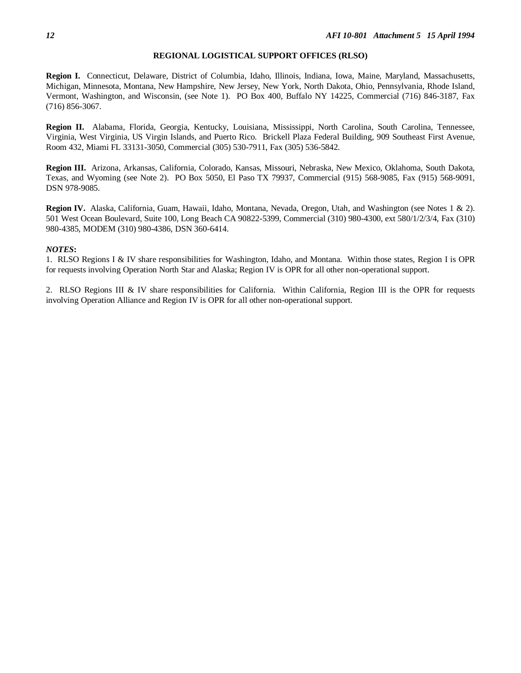#### **REGIONAL LOGISTICAL SUPPORT OFFICES (RLSO)**

**Region I.** Connecticut, Delaware, District of Columbia, Idaho, Illinois, Indiana, Iowa, Maine, Maryland, Massachusetts, Michigan, Minnesota, Montana, New Hampshire, New Jersey, New York, North Dakota, Ohio, Pennsylvania, Rhode Island, Vermont, Washington, and Wisconsin, (see Note 1). PO Box 400, Buffalo NY 14225, Commercial (716) 846-3187, Fax (716) 856-3067.

**Region II.** Alabama, Florida, Georgia, Kentucky, Louisiana, Mississippi, North Carolina, South Carolina, Tennessee, Virginia, West Virginia, US Virgin Islands, and Puerto Rico. Brickell Plaza Federal Building, 909 Southeast First Avenue, Room 432, Miami FL 33131-3050, Commercial (305) 530-7911, Fax (305) 536-5842.

**Region III.** Arizona, Arkansas, California, Colorado, Kansas, Missouri, Nebraska, New Mexico, Oklahoma, South Dakota, Texas, and Wyoming (see Note 2). PO Box 5050, El Paso TX 79937, Commercial (915) 568-9085, Fax (915) 568-9091, DSN 978-9085.

**Region IV.** Alaska, California, Guam, Hawaii, Idaho, Montana, Nevada, Oregon, Utah, and Washington (see Notes 1 & 2). 501 West Ocean Boulevard, Suite 100, Long Beach CA 90822-5399, Commercial (310) 980-4300, ext 580/1/2/3/4, Fax (310) 980-4385, MODEM (310) 980-4386, DSN 360-6414.

### *NOTES***:**

1. RLSO Regions I & IV share responsibilities for Washington, Idaho, and Montana. Within those states, Region I is OPR for requests involving Operation North Star and Alaska; Region IV is OPR for all other non-operational support.

2. RLSO Regions III & IV share responsibilities for California. Within California, Region III is the OPR for requests involving Operation Alliance and Region IV is OPR for all other non-operational support.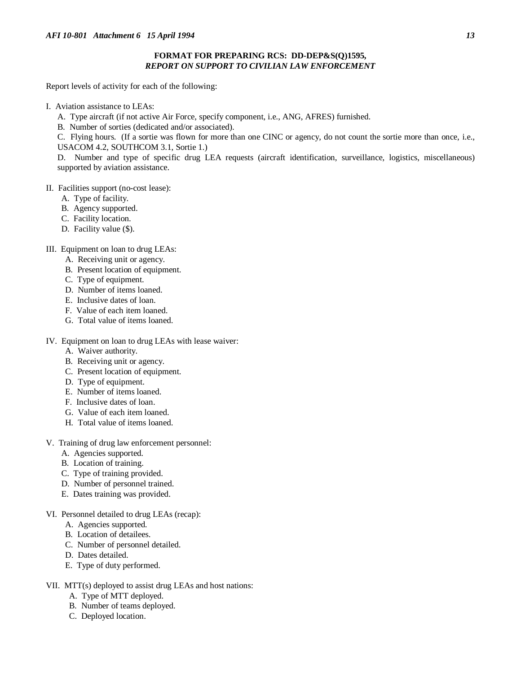## **FORMAT FOR PREPARING RCS: DD-DEP&S(Q)1595,** *REPORT ON SUPPORT TO CIVILIAN LAW ENFORCEMENT*

Report levels of activity for each of the following:

- I. Aviation assistance to LEAs:
	- A. Type aircraft (if not active Air Force, specify component, i.e., ANG, AFRES) furnished.
	- B. Number of sorties (dedicated and/or associated).

C. Flying hours. (If a sortie was flown for more than one CINC or agency, do not count the sortie more than once, i.e., USACOM 4.2, SOUTHCOM 3.1, Sortie 1.)

D. Number and type of specific drug LEA requests (aircraft identification, surveillance, logistics, miscellaneous) supported by aviation assistance.

## II. Facilities support (no-cost lease):

- A. Type of facility.
- B. Agency supported.
- C. Facility location.
- D. Facility value (\$).

## III. Equipment on loan to drug LEAs:

- A. Receiving unit or agency.
- B. Present location of equipment.
- C. Type of equipment.
- D. Number of items loaned.
- E. Inclusive dates of loan.
- F. Value of each item loaned.
- G. Total value of items loaned.

IV. Equipment on loan to drug LEAs with lease waiver:

- A. Waiver authority.
- B. Receiving unit or agency.
- C. Present location of equipment.
- D. Type of equipment.
- E. Number of items loaned.
- F. Inclusive dates of loan.
- G. Value of each item loaned.
- H. Total value of items loaned.
- V. Training of drug law enforcement personnel:
	- A. Agencies supported.
	- B. Location of training.
	- C. Type of training provided.
	- D. Number of personnel trained.
	- E. Dates training was provided.
- VI. Personnel detailed to drug LEAs (recap):
	- A. Agencies supported.
	- B. Location of detailees.
	- C. Number of personnel detailed.
	- D. Dates detailed.
	- E. Type of duty performed.
- VII. MTT(s) deployed to assist drug LEAs and host nations:
	- A. Type of MTT deployed.
	- B. Number of teams deployed.
	- C. Deployed location.